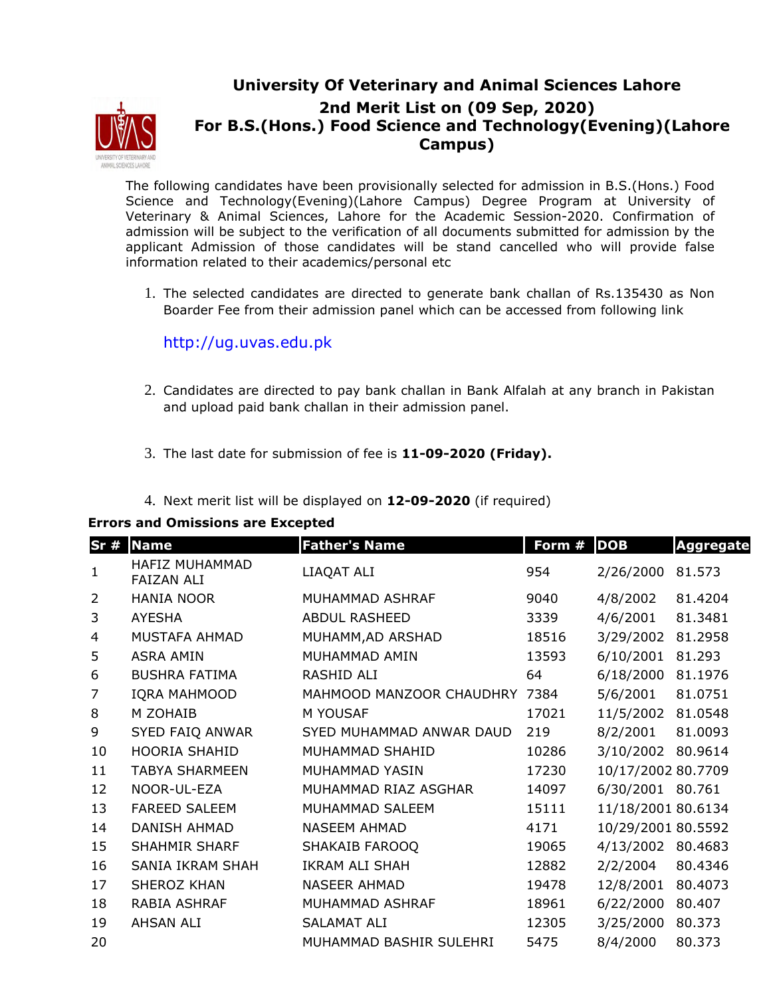

## **University Of Veterinary and Animal Sciences Lahore 2nd Merit List on (09 Sep, 2020) For B.S.(Hons.) Food Science and Technology(Evening)(Lahore Campus)**

The following candidates have been provisionally selected for admission in B.S.(Hons.) Food Science and Technology(Evening)(Lahore Campus) Degree Program at University of Veterinary & Animal Sciences, Lahore for the Academic Session-2020. Confirmation of admission will be subject to the verification of all documents submitted for admission by the applicant Admission of those candidates will be stand cancelled who will provide false information related to their academics/personal etc

1. The selected candidates are directed to generate bank challan of Rs.135430 as Non Boarder Fee from their admission panel which can be accessed from following link

http://ug.uvas.edu.pk

- 2. Candidates are directed to pay bank challan in Bank Alfalah at any branch in Pakistan and upload paid bank challan in their admission panel.
- 3. The last date for submission of fee is **11-09-2020 (Friday).**
- 4. Next merit list will be displayed on **12-09-2020** (if required)

## **Errors and Omissions are Excepted**

| Sr#            | <b>Name</b>                         | <b>Father's Name</b>     | Form # | <b>DOB</b>         | <b>Aggregate</b> |
|----------------|-------------------------------------|--------------------------|--------|--------------------|------------------|
| $\mathbf{1}$   | HAFIZ MUHAMMAD<br><b>FAIZAN ALI</b> | LIAQAT ALI               | 954    | 2/26/2000          | 81.573           |
| $\overline{2}$ | <b>HANIA NOOR</b>                   | MUHAMMAD ASHRAF          | 9040   | 4/8/2002           | 81.4204          |
| 3              | <b>AYESHA</b>                       | <b>ABDUL RASHEED</b>     | 3339   | 4/6/2001           | 81.3481          |
| 4              | MUSTAFA AHMAD                       | MUHAMM, AD ARSHAD        | 18516  | 3/29/2002          | 81.2958          |
| 5              | <b>ASRA AMIN</b>                    | MUHAMMAD AMIN            | 13593  | 6/10/2001          | 81.293           |
| 6              | <b>BUSHRA FATIMA</b>                | RASHID ALI               | 64     | 6/18/2000          | 81.1976          |
| 7              | <b>IQRA MAHMOOD</b>                 | MAHMOOD MANZOOR CHAUDHRY | 7384   | 5/6/2001           | 81.0751          |
| 8              | M ZOHAIB                            | M YOUSAF                 | 17021  | 11/5/2002          | 81.0548          |
| 9              | SYED FAIQ ANWAR                     | SYED MUHAMMAD ANWAR DAUD | 219    | 8/2/2001           | 81.0093          |
| 10             | <b>HOORIA SHAHID</b>                | MUHAMMAD SHAHID          | 10286  | 3/10/2002          | 80.9614          |
| 11             | <b>TABYA SHARMEEN</b>               | MUHAMMAD YASIN           | 17230  | 10/17/2002 80.7709 |                  |
| 12             | NOOR-UL-EZA                         | MUHAMMAD RIAZ ASGHAR     | 14097  | 6/30/2001 80.761   |                  |
| 13             | <b>FAREED SALEEM</b>                | MUHAMMAD SALEEM          | 15111  | 11/18/2001 80.6134 |                  |
| 14             | DANISH AHMAD                        | <b>NASEEM AHMAD</b>      | 4171   | 10/29/2001 80.5592 |                  |
| 15             | <b>SHAHMIR SHARF</b>                | SHAKAIB FAROOQ           | 19065  | 4/13/2002          | 80.4683          |
| 16             | <b>SANIA IKRAM SHAH</b>             | IKRAM ALI SHAH           | 12882  | 2/2/2004           | 80.4346          |
| 17             | <b>SHEROZ KHAN</b>                  | NASEER AHMAD             | 19478  | 12/8/2001          | 80.4073          |
| 18             | RABIA ASHRAF                        | MUHAMMAD ASHRAF          | 18961  | 6/22/2000          | 80.407           |
| 19             | AHSAN ALI                           | <b>SALAMAT ALI</b>       | 12305  | 3/25/2000          | 80.373           |
| 20             |                                     | MUHAMMAD BASHIR SULEHRI  | 5475   | 8/4/2000           | 80.373           |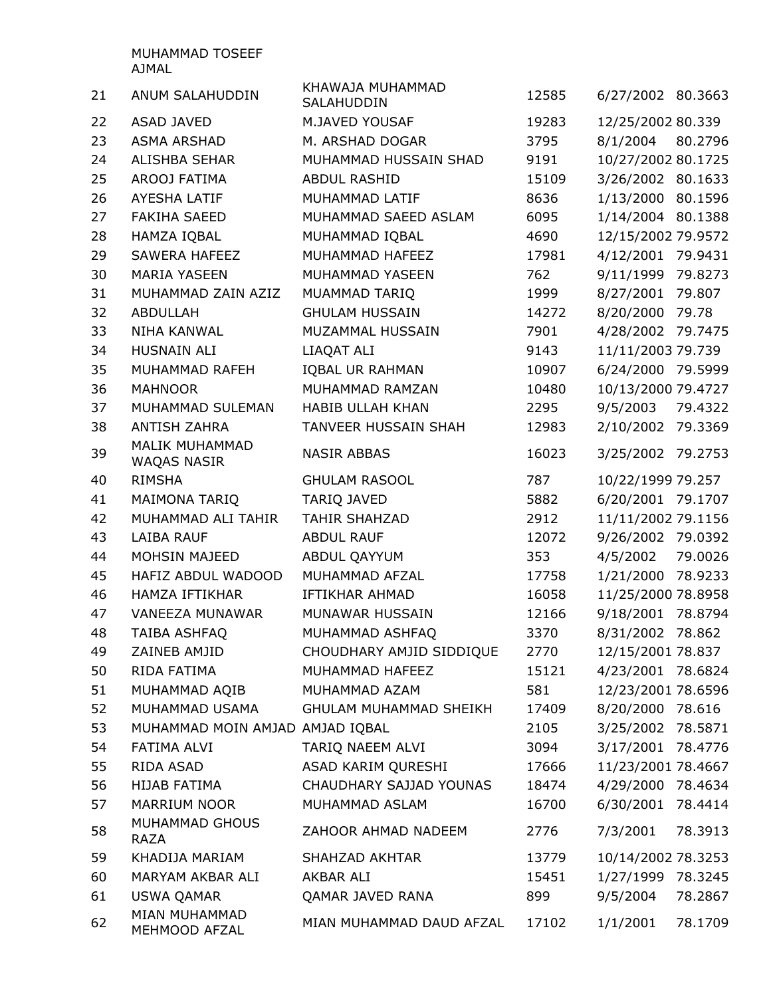MUHAMMAD TOSEEF AJMAL

| 21 | ANUM SALAHUDDIN                      | KHAWAJA MUHAMMAD<br>SALAHUDDIN | 12585 | 6/27/2002 80.3663  |         |
|----|--------------------------------------|--------------------------------|-------|--------------------|---------|
| 22 | <b>ASAD JAVED</b>                    | M.JAVED YOUSAF                 | 19283 | 12/25/2002 80.339  |         |
| 23 | <b>ASMA ARSHAD</b>                   | M. ARSHAD DOGAR                | 3795  | 8/1/2004           | 80.2796 |
| 24 | <b>ALISHBA SEHAR</b>                 | MUHAMMAD HUSSAIN SHAD          | 9191  | 10/27/2002 80.1725 |         |
| 25 | AROOJ FATIMA                         | <b>ABDUL RASHID</b>            | 15109 | 3/26/2002 80.1633  |         |
| 26 | <b>AYESHA LATIF</b>                  | MUHAMMAD LATIF                 | 8636  | 1/13/2000          | 80.1596 |
| 27 | <b>FAKIHA SAEED</b>                  | MUHAMMAD SAEED ASLAM           | 6095  | 1/14/2004          | 80.1388 |
| 28 | HAMZA IQBAL                          | MUHAMMAD IQBAL                 | 4690  | 12/15/2002 79.9572 |         |
| 29 | <b>SAWERA HAFEEZ</b>                 | MUHAMMAD HAFEEZ                | 17981 | 4/12/2001          | 79.9431 |
| 30 | <b>MARIA YASEEN</b>                  | MUHAMMAD YASEEN                | 762   | 9/11/1999          | 79.8273 |
| 31 | MUHAMMAD ZAIN AZIZ                   | MUAMMAD TARIQ                  | 1999  | 8/27/2001          | 79.807  |
| 32 | <b>ABDULLAH</b>                      | <b>GHULAM HUSSAIN</b>          | 14272 | 8/20/2000          | 79.78   |
| 33 | <b>NIHA KANWAL</b>                   | MUZAMMAL HUSSAIN               | 7901  | 4/28/2002          | 79.7475 |
| 34 | HUSNAIN ALI                          | LIAQAT ALI                     | 9143  | 11/11/2003 79.739  |         |
| 35 | MUHAMMAD RAFEH                       | <b>IQBAL UR RAHMAN</b>         | 10907 | 6/24/2000          | 79.5999 |
| 36 | <b>MAHNOOR</b>                       | MUHAMMAD RAMZAN                | 10480 | 10/13/2000 79.4727 |         |
| 37 | MUHAMMAD SULEMAN                     | <b>HABIB ULLAH KHAN</b>        | 2295  | 9/5/2003           | 79.4322 |
| 38 | <b>ANTISH ZAHRA</b>                  | <b>TANVEER HUSSAIN SHAH</b>    | 12983 | 2/10/2002          | 79.3369 |
| 39 | MALIK MUHAMMAD<br><b>WAQAS NASIR</b> | <b>NASIR ABBAS</b>             | 16023 | 3/25/2002          | 79.2753 |
| 40 | <b>RIMSHA</b>                        | <b>GHULAM RASOOL</b>           | 787   | 10/22/1999 79.257  |         |
| 41 | <b>MAIMONA TARIQ</b>                 | <b>TARIQ JAVED</b>             | 5882  | 6/20/2001          | 79.1707 |
| 42 | MUHAMMAD ALI TAHIR                   | <b>TAHIR SHAHZAD</b>           | 2912  | 11/11/2002 79.1156 |         |
| 43 | <b>LAIBA RAUF</b>                    | <b>ABDUL RAUF</b>              | 12072 | 9/26/2002 79.0392  |         |
| 44 | <b>MOHSIN MAJEED</b>                 | ABDUL QAYYUM                   | 353   | 4/5/2002           | 79.0026 |
| 45 | HAFIZ ABDUL WADOOD                   | MUHAMMAD AFZAL                 | 17758 | 1/21/2000          | 78.9233 |
| 46 | HAMZA IFTIKHAR                       | <b>IFTIKHAR AHMAD</b>          | 16058 | 11/25/2000 78.8958 |         |
| 47 | VANEEZA MUNAWAR                      | MUNAWAR HUSSAIN                | 12166 | 9/18/2001          | 78.8794 |
| 48 | <b>TAIBA ASHFAQ</b>                  | MUHAMMAD ASHFAQ                | 3370  | 8/31/2002          | 78.862  |
| 49 | ZAINEB AMJID                         | CHOUDHARY AMJID SIDDIQUE       | 2770  | 12/15/2001 78.837  |         |
| 50 | RIDA FATIMA                          | MUHAMMAD HAFEEZ                | 15121 | 4/23/2001 78.6824  |         |
| 51 | MUHAMMAD AQIB                        | MUHAMMAD AZAM                  | 581   | 12/23/2001 78.6596 |         |
| 52 | MUHAMMAD USAMA                       | GHULAM MUHAMMAD SHEIKH         | 17409 | 8/20/2000 78.616   |         |
| 53 | MUHAMMAD MOIN AMJAD AMJAD IQBAL      |                                | 2105  | 3/25/2002 78.5871  |         |
| 54 | FATIMA ALVI                          | TARIQ NAEEM ALVI               | 3094  | 3/17/2001 78.4776  |         |
| 55 | RIDA ASAD                            | ASAD KARIM QURESHI             | 17666 | 11/23/2001 78.4667 |         |
| 56 | HIJAB FATIMA                         | CHAUDHARY SAJJAD YOUNAS        | 18474 | 4/29/2000 78.4634  |         |
| 57 | MARRIUM NOOR                         | MUHAMMAD ASLAM                 | 16700 | 6/30/2001          | 78.4414 |
| 58 | MUHAMMAD GHOUS<br><b>RAZA</b>        | ZAHOOR AHMAD NADEEM            | 2776  | 7/3/2001           | 78.3913 |
| 59 | KHADIJA MARIAM                       | SHAHZAD AKHTAR                 | 13779 | 10/14/2002 78.3253 |         |
| 60 | MARYAM AKBAR ALI                     | AKBAR ALI                      | 15451 | 1/27/1999 78.3245  |         |
| 61 | <b>USWA QAMAR</b>                    | QAMAR JAVED RANA               | 899   | 9/5/2004           | 78.2867 |
| 62 | MIAN MUHAMMAD<br>MEHMOOD AFZAL       | MIAN MUHAMMAD DAUD AFZAL       | 17102 | 1/1/2001           | 78.1709 |